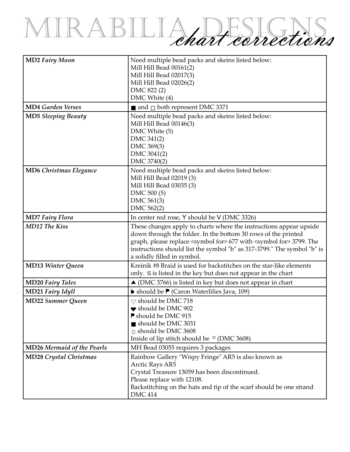## MIRABILIA, DESIGNS,

| <b>MD2 Fairy Moon</b>             | Need multiple bead packs and skeins listed below:<br>Mill Hill Bead 00161(2)<br>Mill Hill Bead 02017(3)<br>Mill Hill Bead 02026(2)<br>DMC 822 (2)<br>DMC White (4)                                                                                                                                                                            |
|-----------------------------------|-----------------------------------------------------------------------------------------------------------------------------------------------------------------------------------------------------------------------------------------------------------------------------------------------------------------------------------------------|
| <b>MD4 Garden Verses</b>          | and $\Box$ both represent DMC 3371                                                                                                                                                                                                                                                                                                            |
| <b>MD5 Sleeping Beauty</b>        | Need multiple bead packs and skeins listed below:<br>Mill Hill Bead 00146(3)<br>DMC White (5)<br>DMC 341(2)<br>DMC 369(3)<br>DMC 3041(2)<br>DMC 3740(2)                                                                                                                                                                                       |
| <b>MD6 Christmas Elegance</b>     | Need multiple bead packs and skeins listed below:<br>Mill Hill Bead 02019 (3)<br>Mill Hill Bead 03035 (3)<br>DMC 500 (5)<br>DMC 561(3)<br>DMC 562(2)                                                                                                                                                                                          |
| <b>MD7</b> Fairy Flora            | In center red rose, Y should be V (DMC 3326)                                                                                                                                                                                                                                                                                                  |
| <b>MD12 The Kiss</b>              | These changes apply to charts where the instructions appear upside<br>down through the folder. In the bottom 30 rows of the printed<br>graph, please replace <symbol for=""> 677 with <symbol for=""> 3799. The<br/>instructions should list the symbol "b" as 317-3799." The symbol "b" is<br/>a solidly filled in symbol.</symbol></symbol> |
| <b>MD13 Winter Queen</b>          | Kreinik #8 Braid is used for backstitches on the star-like elements<br>only. 5 is listed in the key but does not appear in the chart                                                                                                                                                                                                          |
| <b>MD20 Fairy Tales</b>           | $\triangle$ (DMC 3766) is listed in key but does not appear in chart                                                                                                                                                                                                                                                                          |
| <b>MD21 Fairy Idyll</b>           | <b>b</b> should be <b>P</b> (Caron Waterlilies Java, 109)                                                                                                                                                                                                                                                                                     |
| <b>MD22 Summer Queen</b>          | $\heartsuit$ should be DMC 718<br>$\bullet$ should be DMC 902<br>P should be DMC 915<br>should be DMC 3031<br>O should be DMC 3608<br>Inside of lip stitch should be $\circ$ (DMC 3608)                                                                                                                                                       |
| <b>MD26 Mermaid of the Pearls</b> | MH Bead 03055 requires 3 packages                                                                                                                                                                                                                                                                                                             |
| <b>MD28 Crystal Christmas</b>     | Rainbow Gallery "Wispy Fringe" AR5 is also known as<br>Arctic Rays AR5<br>Crystal Treasure 13059 has been discontinued.<br>Please replace with 12108.<br>Backstitching on the hats and tip of the scarf should be one strand<br><b>DMC 414</b>                                                                                                |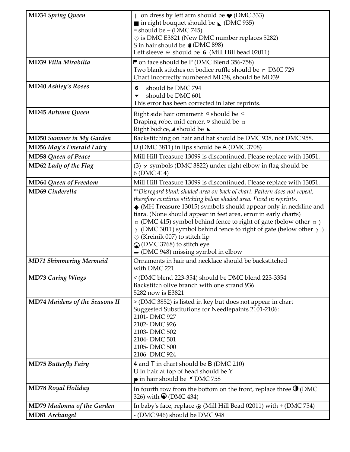| <b>MD34 Spring Queen</b>              | $\parallel$ on dress by left arm should be $\blacktriangleright$ (DMC 333)<br>$\blacksquare$ in right bouquet should be $\blacksquare$ (DMC 935)<br>$=$ should be $-$ (DMC 745)<br>$\heartsuit$ is DMC E3821 (New DMC number replaces 5282)<br>S in hair should be ((DMC 898)<br>Left sleeve $\circ$ should be 6 (Mill Hill bead 02011)                                                                                                                                                                                                                                             |
|---------------------------------------|-------------------------------------------------------------------------------------------------------------------------------------------------------------------------------------------------------------------------------------------------------------------------------------------------------------------------------------------------------------------------------------------------------------------------------------------------------------------------------------------------------------------------------------------------------------------------------------|
| MD39 Villa Mirabilia                  | P on face should be P (DMC Blend 356-758)<br>Two blank stitches on bodice ruffle should be $\Box$ DMC 729<br>Chart incorrectly numbered MD38, should be MD39                                                                                                                                                                                                                                                                                                                                                                                                                        |
| <b>MD40 Ashley's Roses</b>            | should be DMC 794<br>6<br>should be DMC 601<br>This error has been corrected in later reprints.                                                                                                                                                                                                                                                                                                                                                                                                                                                                                     |
| <b>MD45 Autumn Queen</b>              | Right side hair ornament o should be c<br>Draping robe, mid center, o should be □<br>Right bodice, ⊿ should be L                                                                                                                                                                                                                                                                                                                                                                                                                                                                    |
| <b>MD50 Summer in My Garden</b>       | Backstitching on hair and hat should be DMC 938, not DMC 958.                                                                                                                                                                                                                                                                                                                                                                                                                                                                                                                       |
| <b>MD56 May's Emerald Fairy</b>       | U (DMC 3811) in lips should be A (DMC 3708)                                                                                                                                                                                                                                                                                                                                                                                                                                                                                                                                         |
| <b>MD58 Queen of Peace</b>            | Mill Hill Treasure 13099 is discontinued. Please replace with 13051.                                                                                                                                                                                                                                                                                                                                                                                                                                                                                                                |
| MD62 Lady of the Flag                 | $(3)$ $\times$ symbols (DMC 3822) under right elbow in flag should be<br>6 (DMC 414)                                                                                                                                                                                                                                                                                                                                                                                                                                                                                                |
| <b>MD64 Queen of Freedom</b>          | Mill Hill Treasure 13099 is discontinued. Please replace with 13051.                                                                                                                                                                                                                                                                                                                                                                                                                                                                                                                |
| <b>MD69</b> Cinderella                | **Disregard blank shaded area on back of chart. Pattern does not repeat,<br>therefore continue stitching below shaded area. Fixed in reprints.<br>$\blacklozenge$ (MH Treasure 13015) symbols should appear only in neckline and<br>tiara. (None should appear in feet area, error in early charts)<br>$\Box$ (DMC 415) symbol behind fence to right of gate (below other $\Box$ )<br>(DMC 3011) symbol behind fence to right of gate (below other $\rightarrow$ )<br>$\heartsuit$ (Kreinik 007) to stitch lip<br>O (DMC 3768) to stitch eye<br>- (DMC 948) missing symbol in elbow |
| <b>MD71 Shimmering Mermaid</b>        | Ornaments in hair and necklace should be backstitched<br>with DMC 221                                                                                                                                                                                                                                                                                                                                                                                                                                                                                                               |
| <b>MD73 Caring Wings</b>              | < (DMC blend 223-354) should be DMC blend 223-3354<br>Backstitch olive branch with one strand 936<br>5282 now is E3821                                                                                                                                                                                                                                                                                                                                                                                                                                                              |
| <b>MD74 Maidens of the Seasons II</b> | > (DMC 3852) is listed in key but does not appear in chart<br>Suggested Substitutions for Needlepaints 2101-2106:<br>2101-DMC 927<br>2102-DMC 926<br>2103-DMC 502<br>2104-DMC 501<br>2105-DMC 500<br>2106-DMC 924                                                                                                                                                                                                                                                                                                                                                                   |
| <b>MD75 Butterfly Fairy</b>           | 4 and T in chart should be B (DMC 210)<br>U in hair at top of head should be Y<br>p in hair should be <i>S</i> DMC 758                                                                                                                                                                                                                                                                                                                                                                                                                                                              |
| <b>MD78 Royal Holiday</b>             | In fourth row from the bottom on the front, replace three $\bullet$ (DMC<br>326) with $\bigcirc$ (DMC 434)                                                                                                                                                                                                                                                                                                                                                                                                                                                                          |
| <b>MD79 Madonna of the Garden</b>     | In baby's face, replace $\odot$ (Mill Hill Bead 02011) with + (DMC 754)                                                                                                                                                                                                                                                                                                                                                                                                                                                                                                             |
| MD81 Archangel                        | (DMC 946) should be DMC 948                                                                                                                                                                                                                                                                                                                                                                                                                                                                                                                                                         |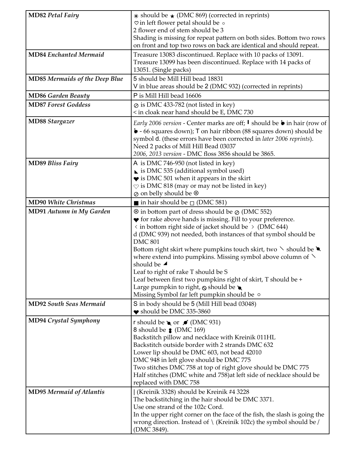| <b>MD82 Petal Fairy</b>               | $*$ should be $\star$ (DMC 869) (corrected in reprints)<br>♡ in left flower petal should be o<br>2 flower end of stem should be 3<br>Shading is missing for repeat pattern on both sides. Bottom two rows<br>on front and top two rows on back are identical and should repeat.                                                                                                                                                                                                                                                                                                                                                                                                                |
|---------------------------------------|------------------------------------------------------------------------------------------------------------------------------------------------------------------------------------------------------------------------------------------------------------------------------------------------------------------------------------------------------------------------------------------------------------------------------------------------------------------------------------------------------------------------------------------------------------------------------------------------------------------------------------------------------------------------------------------------|
| <b>MD84 Enchanted Mermaid</b>         | Treasure 13083 discontinued. Replace with 10 packs of 13091.<br>Treasure 13099 has been discontinued. Replace with 14 packs of<br>13051. (Single packs)                                                                                                                                                                                                                                                                                                                                                                                                                                                                                                                                        |
| <b>MD85 Mermaids of the Deep Blue</b> | 5 should be Mill Hill bead 18831<br>V in blue areas should be 2 (DMC 932) (corrected in reprints)                                                                                                                                                                                                                                                                                                                                                                                                                                                                                                                                                                                              |
| <b>MD86 Garden Beauty</b>             | P is Mill Hill bead 16606                                                                                                                                                                                                                                                                                                                                                                                                                                                                                                                                                                                                                                                                      |
| <b>MD87 Forest Goddess</b>            | $\varphi$ is DMC 433-782 (not listed in key)<br>< in cloak near hand should be E, DMC 730                                                                                                                                                                                                                                                                                                                                                                                                                                                                                                                                                                                                      |
| <b>MD88 Stargazer</b>                 | <i>Early</i> 2006 version - Center marks are off; <b>I</b> should be <b>b</b> in hair (row of<br>• 66 squares down); T on hair ribbon (88 squares down) should be<br>symbol d. (these errors have been corrected in later 2006 reprints).<br>Need 2 packs of Mill Hill Bead 03037<br>2006, 2013 version - DMC floss 3856 should be 3865.                                                                                                                                                                                                                                                                                                                                                       |
| <b>MD89 Bliss Fairy</b>               | A is DMC 746-950 (not listed in key)<br>$\triangleright$ is DMC 535 (additional symbol used)<br>$\blacktriangleright$ is DMC 501 when it appears in the skirt<br>$\heartsuit$ is DMC 818 (may or may not be listed in key)<br>⊘ on belly should be ⊗                                                                                                                                                                                                                                                                                                                                                                                                                                           |
| <b>MD90 White Christmas</b>           | in hair should be $\Box$ (DMC 581)                                                                                                                                                                                                                                                                                                                                                                                                                                                                                                                                                                                                                                                             |
| <b>MD91 Autumn in My Garden</b>       | $\otimes$ in bottom part of dress should be $\otimes$ (DMC 552)<br>◆ for rake above hands is missing. Fill to your preference.<br>$\langle$ in bottom right side of jacket should be $\rangle$ (DMC 644)<br>d (DMC 939) not needed, both instances of that symbol should be<br><b>DMC 801</b><br>Bottom right skirt where pumpkins touch skirt, two $\searrow$ should be<br>where extend into pumpkins. Missing symbol above column of $\setminus$<br>should be $\blacktriangle$<br>Leaf to right of rake T should be S<br>Leaf between first two pumpkins right of skirt, T should be +<br>Large pumpkin to right, $\odot$ should be $\bullet$<br>Missing Symbol far left pumpkin should be o |
| <b>MD92 South Seas Mermaid</b>        | S in body should be 5 (Mill Hill bead 03048)<br>$\bullet$ should be DMC 335-3860                                                                                                                                                                                                                                                                                                                                                                                                                                                                                                                                                                                                               |
| <b>MD94 Crystal Symphony</b>          | r should be $\bullet$ or $\blacktriangleright$ (DMC 931)<br>8 should be $\bullet$ (DMC 169)<br>Backstitch pillow and necklace with Kreinik 011HL<br>Backstitch outside border with 2 strands DMC 632<br>Lower lip should be DMC 603, not bead 42010<br>DMC 948 in left glove should be DMC 775<br>Two stitches DMC 758 at top of right glove should be DMC 775<br>Half stitches (DMC white and 758) at left side of necklace should be<br>replaced with DMC 758                                                                                                                                                                                                                                |
| <b>MD95 Mermaid of Atlantis</b>       | Kreinik 3328) should be Kreinik #4 3228<br>The backstitching in the hair should be DMC 3371.<br>Use one strand of the 102c Cord.<br>In the upper right corner on the face of the fish, the slash is going the<br>wrong direction. Instead of $\setminus$ (Kreinik 102c) the symbol should be /<br>(DMC 3849).                                                                                                                                                                                                                                                                                                                                                                                  |